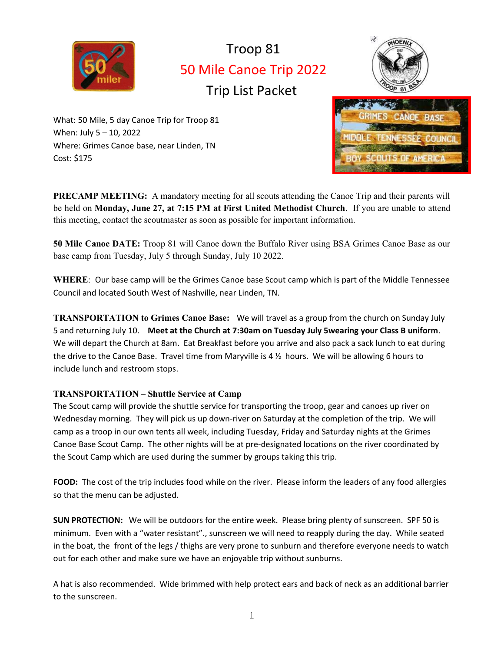

# Troop 81 50 Mile Canoe Trip 2022 Trip List Packet



What: 50 Mile, 5 day Canoe Trip for Troop 81 When: July 5 – 10, 2022 Where: Grimes Canoe base, near Linden, TN Cost: \$175



PRECAMP MEETING: A mandatory meeting for all scouts attending the Canoe Trip and their parents will be held on Monday, June 27, at 7:15 PM at First United Methodist Church. If you are unable to attend this meeting, contact the scoutmaster as soon as possible for important information.

50 Mile Canoe DATE: Troop 81 will Canoe down the Buffalo River using BSA Grimes Canoe Base as our base camp from Tuesday, July 5 through Sunday, July 10 2022.

WHERE: Our base camp will be the Grimes Canoe base Scout camp which is part of the Middle Tennessee Council and located South West of Nashville, near Linden, TN.

TRANSPORTATION to Grimes Canoe Base: We will travel as a group from the church on Sunday July 5 and returning July 10. Meet at the Church at 7:30am on Tuesday July 5wearing your Class B uniform. We will depart the Church at 8am. Eat Breakfast before you arrive and also pack a sack lunch to eat during the drive to the Canoe Base. Travel time from Maryville is  $4\frac{1}{2}$  hours. We will be allowing 6 hours to include lunch and restroom stops.

# TRANSPORTATION – Shuttle Service at Camp

The Scout camp will provide the shuttle service for transporting the troop, gear and canoes up river on Wednesday morning. They will pick us up down-river on Saturday at the completion of the trip. We will camp as a troop in our own tents all week, including Tuesday, Friday and Saturday nights at the Grimes Canoe Base Scout Camp. The other nights will be at pre-designated locations on the river coordinated by the Scout Camp which are used during the summer by groups taking this trip.

FOOD: The cost of the trip includes food while on the river. Please inform the leaders of any food allergies so that the menu can be adjusted.

SUN PROTECTION: We will be outdoors for the entire week. Please bring plenty of sunscreen. SPF 50 is minimum. Even with a "water resistant"., sunscreen we will need to reapply during the day. While seated in the boat, the front of the legs / thighs are very prone to sunburn and therefore everyone needs to watch out for each other and make sure we have an enjoyable trip without sunburns.

A hat is also recommended. Wide brimmed with help protect ears and back of neck as an additional barrier to the sunscreen.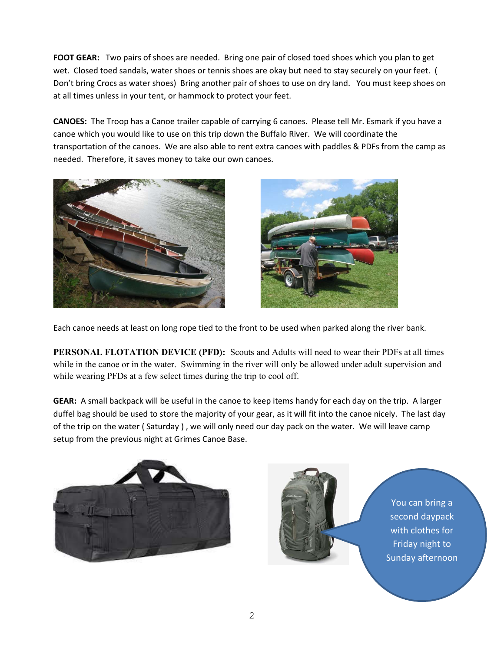FOOT GEAR: Two pairs of shoes are needed. Bring one pair of closed toed shoes which you plan to get wet. Closed toed sandals, water shoes or tennis shoes are okay but need to stay securely on your feet. ( Don't bring Crocs as water shoes) Bring another pair of shoes to use on dry land. You must keep shoes on at all times unless in your tent, or hammock to protect your feet.

CANOES: The Troop has a Canoe trailer capable of carrying 6 canoes. Please tell Mr. Esmark if you have a canoe which you would like to use on this trip down the Buffalo River. We will coordinate the transportation of the canoes. We are also able to rent extra canoes with paddles & PDFs from the camp as needed. Therefore, it saves money to take our own canoes.





Each canoe needs at least on long rope tied to the front to be used when parked along the river bank.

PERSONAL FLOTATION DEVICE (PFD): Scouts and Adults will need to wear their PDFs at all times while in the canoe or in the water. Swimming in the river will only be allowed under adult supervision and while wearing PFDs at a few select times during the trip to cool off.

GEAR: A small backpack will be useful in the canoe to keep items handy for each day on the trip. A larger duffel bag should be used to store the majority of your gear, as it will fit into the canoe nicely. The last day of the trip on the water ( Saturday ) , we will only need our day pack on the water. We will leave camp setup from the previous night at Grimes Canoe Base.





You can bring a second daypack with clothes for Friday night to Sunday afternoon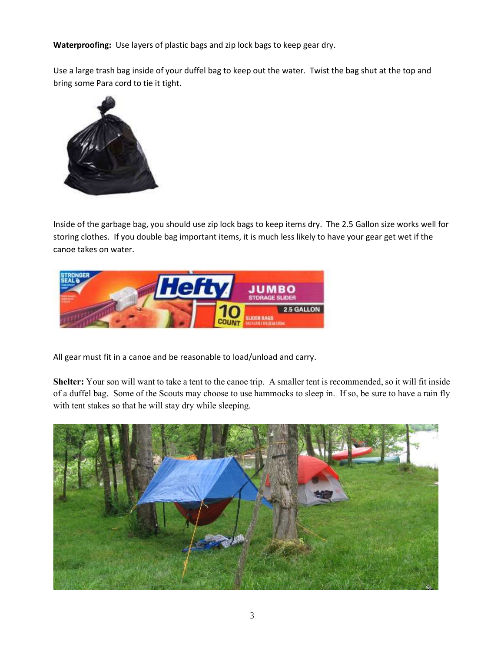Waterproofing: Use layers of plastic bags and zip lock bags to keep gear dry.

Use a large trash bag inside of your duffel bag to keep out the water. Twist the bag shut at the top and bring some Para cord to tie it tight.



Inside of the garbage bag, you should use zip lock bags to keep items dry. The 2.5 Gallon size works well for storing clothes. If you double bag important items, it is much less likely to have your gear get wet if the canoe takes on water.



All gear must fit in a canoe and be reasonable to load/unload and carry.

Shelter: Your son will want to take a tent to the canoe trip. A smaller tent is recommended, so it will fit inside of a duffel bag. Some of the Scouts may choose to use hammocks to sleep in. If so, be sure to have a rain fly with tent stakes so that he will stay dry while sleeping.

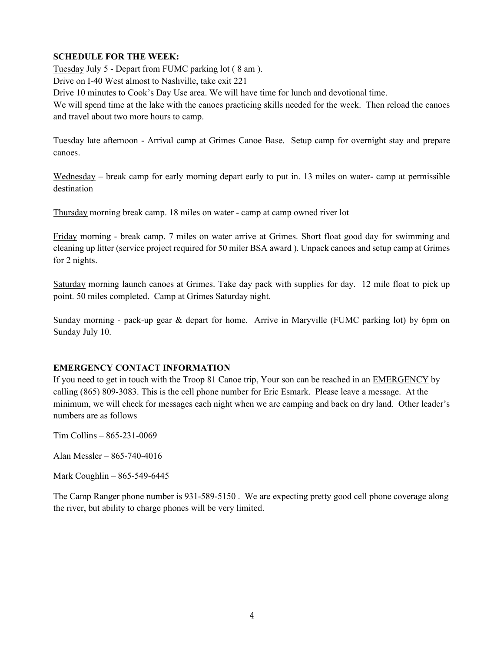# SCHEDULE FOR THE WEEK:

Tuesday July 5 - Depart from FUMC parking lot ( 8 am ).

Drive on I-40 West almost to Nashville, take exit 221

Drive 10 minutes to Cook's Day Use area. We will have time for lunch and devotional time.

We will spend time at the lake with the canoes practicing skills needed for the week. Then reload the canoes and travel about two more hours to camp.

Tuesday late afternoon - Arrival camp at Grimes Canoe Base. Setup camp for overnight stay and prepare canoes.

Wednesday – break camp for early morning depart early to put in. 13 miles on water- camp at permissible destination

Thursday morning break camp. 18 miles on water - camp at camp owned river lot

Friday morning - break camp. 7 miles on water arrive at Grimes. Short float good day for swimming and cleaning up litter (service project required for 50 miler BSA award ). Unpack canoes and setup camp at Grimes for 2 nights.

Saturday morning launch canoes at Grimes. Take day pack with supplies for day. 12 mile float to pick up point. 50 miles completed. Camp at Grimes Saturday night.

Sunday morning - pack-up gear & depart for home. Arrive in Maryville (FUMC parking lot) by 6pm on Sunday July 10.

# EMERGENCY CONTACT INFORMATION

If you need to get in touch with the Troop 81 Canoe trip, Your son can be reached in an EMERGENCY by calling (865) 809-3083. This is the cell phone number for Eric Esmark. Please leave a message. At the minimum, we will check for messages each night when we are camping and back on dry land. Other leader's numbers are as follows

Tim Collins – 865-231-0069

Alan Messler – 865-740-4016

Mark Coughlin – 865-549-6445

The Camp Ranger phone number is 931-589-5150 . We are expecting pretty good cell phone coverage along the river, but ability to charge phones will be very limited.